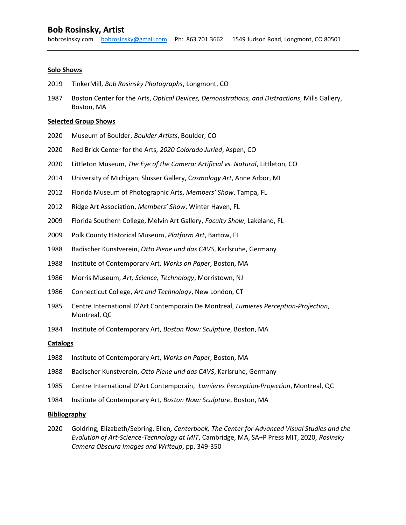# Solo Shows

- 2019 TinkerMill, Bob Rosinsky Photographs, Longmont, CO
- 1987 Boston Center for the Arts, Optical Devices, Demonstrations, and Distractions, Mills Gallery, Boston, MA

#### Selected Group Shows

- 2020 Museum of Boulder, Boulder Artists, Boulder, CO
- 2020 Red Brick Center for the Arts, 2020 Colorado Juried, Aspen, CO
- 2020 Littleton Museum, The Eye of the Camera: Artificial vs. Natural, Littleton, CO
- 2014 University of Michigan, Slusser Gallery, Cosmology Art, Anne Arbor, MI
- 2012 Florida Museum of Photographic Arts, Members' Show, Tampa, FL
- 2012 Ridge Art Association, Members' Show, Winter Haven, FL
- 2009 Florida Southern College, Melvin Art Gallery, Faculty Show, Lakeland, FL
- 2009 Polk County Historical Museum, Platform Art, Bartow, FL
- 1988 Badischer Kunstverein, Otto Piene und das CAVS, Karlsruhe, Germany
- 1988 Institute of Contemporary Art, Works on Paper, Boston, MA
- 1986 Morris Museum, Art, Science, Technology, Morristown, NJ
- 1986 Connecticut College, Art and Technology, New London, CT
- 1985 Centre International D'Art Contemporain De Montreal, Lumieres Perception-Projection, Montreal, QC
- 1984 Institute of Contemporary Art, Boston Now: Sculpture, Boston, MA

### **Catalogs**

- 1988 Institute of Contemporary Art, Works on Paper, Boston, MA
- 1988 Badischer Kunstverein, Otto Piene und das CAVS, Karlsruhe, Germany
- 1985 Centre International D'Art Contemporain, Lumieres Perception-Projection, Montreal, QC
- 1984 Institute of Contemporary Art, Boston Now: Sculpture, Boston, MA

### Bibliography

2020 Goldring, Elizabeth/Sebring, Ellen, Centerbook, The Center for Advanced Visual Studies and the Evolution of Art-Science-Technology at MIT, Cambridge, MA, SA+P Press MIT, 2020, Rosinsky Camera Obscura Images and Writeup, pp. 349-350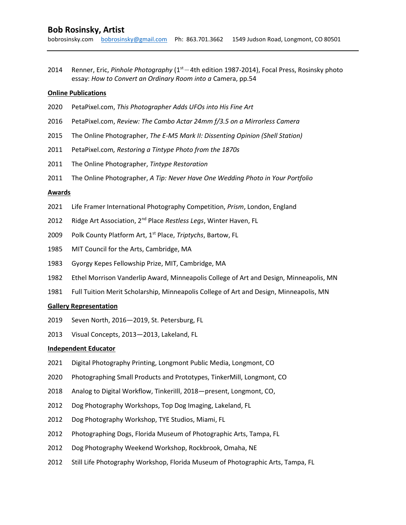2014 Renner, Eric, Pinhole Photography ( $1<sup>st</sup> - 4$ th edition 1987-2014), Focal Press, Rosinsky photo essay: How to Convert an Ordinary Room into a Camera, pp.54

## Online Publications

- 2020 PetaPixel.com, This Photographer Adds UFOs into His Fine Art
- 2016 PetaPixel.com, Review: The Cambo Actar 24mm f/3.5 on a Mirrorless Camera
- 2015 The Online Photographer, The E-M5 Mark II: Dissenting Opinion (Shell Station)
- 2011 PetaPixel.com, Restoring a Tintype Photo from the 1870s
- 2011 The Online Photographer, Tintype Restoration
- 2011 The Online Photographer, A Tip: Never Have One Wedding Photo in Your Portfolio

# Awards

- 2021 Life Framer International Photography Competition, Prism, London, England
- 2012 Ridge Art Association, 2<sup>nd</sup> Place Restless Legs, Winter Haven, FL
- 2009 Polk County Platform Art, 1<sup>st</sup> Place, Triptychs, Bartow, FL
- 1985 MIT Council for the Arts, Cambridge, MA
- 1983 Gyorgy Kepes Fellowship Prize, MIT, Cambridge, MA
- 1982 Ethel Morrison Vanderlip Award, Minneapolis College of Art and Design, Minneapolis, MN
- 1981 Full Tuition Merit Scholarship, Minneapolis College of Art and Design, Minneapolis, MN

### Gallery Representation

- 2019 Seven North, 2016—2019, St. Petersburg, FL
- 2013 Visual Concepts, 2013—2013, Lakeland, FL

### Independent Educator

- 2021 Digital Photography Printing, Longmont Public Media, Longmont, CO
- 2020 Photographing Small Products and Prototypes, TinkerMill, Longmont, CO
- 2018 Analog to Digital Workflow, TinkeriIll, 2018—present, Longmont, CO,
- 2012 Dog Photography Workshops, Top Dog Imaging, Lakeland, FL
- 2012 Dog Photography Workshop, TYE Studios, Miami, FL
- 2012 Photographing Dogs, Florida Museum of Photographic Arts, Tampa, FL
- 2012 Dog Photography Weekend Workshop, Rockbrook, Omaha, NE
- 2012 Still Life Photography Workshop, Florida Museum of Photographic Arts, Tampa, FL